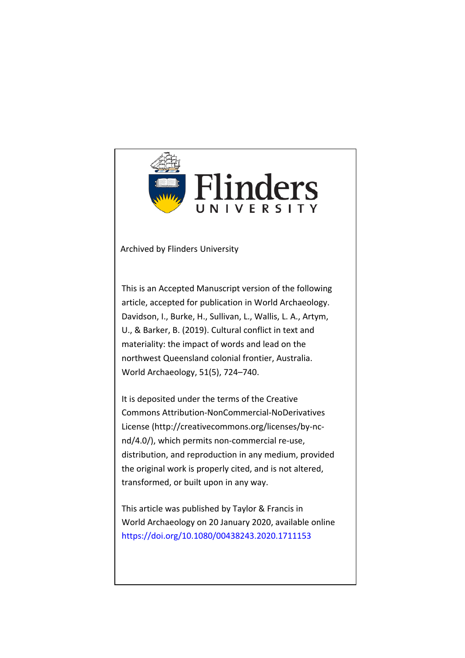

Archived by Flinders University

This is an Accepted Manuscript version of the following article, accepted for publication in World Archaeology. Davidson, I., Burke, H., Sullivan, L., Wallis, L. A., Artym, U., & Barker, B. (2019). Cultural conflict in text and materiality: the impact of words and lead on the northwest Queensland colonial frontier, Australia. World Archaeology, 51(5), 724–740.

It is deposited under the terms of the Creative Commons Attribution-NonCommercial-NoDerivatives License (http://creativecommons.org/licenses/by-ncnd/4.0/), which permits non-commercial re-use, distribution, and reproduction in any medium, provided the original work is properly cited, and is not altered, transformed, or built upon in any way.

This article was published by Taylor & Francis in World Archaeology on 20 January 2020, available online https://doi.org/[10.1080/00438243.2020.1711153](https://www.tandfonline.com/doi/full/10.1080/00438243.2020.1711153)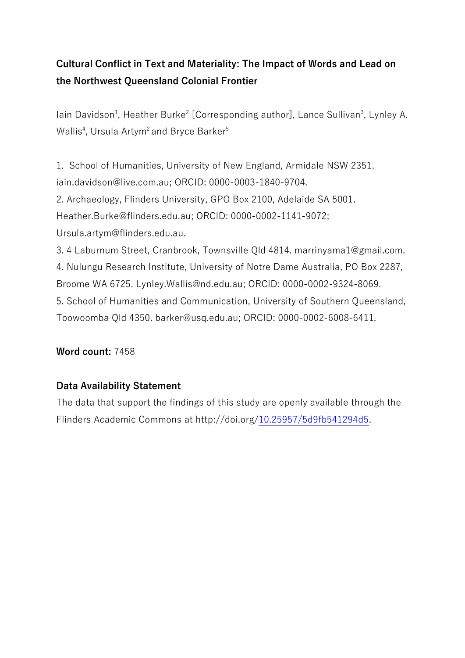# **Cultural Conflict in Text and Materiality: The Impact of Words and Lead on the Northwest Queensland Colonial Frontier**

lain Davidson<sup>1</sup>, Heather Burke<sup>2</sup> [Corresponding author], Lance Sullivan<sup>3</sup>, Lynley A. Wallis<sup>4</sup>, Ursula Artym<sup>2</sup> and Bryce Barker<sup>5</sup>

1. School of Humanities, University of New England, Armidale NSW 2351. iain.davidson@live.com.au; ORCID: 0000-0003-1840-9704.

2. Archaeology, Flinders University, GPO Box 2100, Adelaide SA 5001.

Heather.Burke@flinders.edu.au; ORCID: 0000-0002-1141-9072;

Ursula.artym@flinders.edu.au.

3. 4 Laburnum Street, Cranbrook, Townsville Qld 4814. marrinyama1@gmail.com.

4. Nulungu Research Institute, University of Notre Dame Australia, PO Box 2287,

Broome WA 6725. Lynley.Wallis@nd.edu.au; ORCID: 0000-0002-9324-8069.

Toowoomba Qld 4350. barker@usq.edu.au; ORCID: 0000-0002-6008-6411.

5. School of Humanities and Communication, University of Southern Queensland,

# **Word count:** 7458

# **Data Availability Statement**

The data that support the findings of this study are openly available through the Flinders Academic Commons at http://doi.org[/10.25957/5d9fb541294d5.](http://dx.doi.org/10.25957/5d9fb541294d5)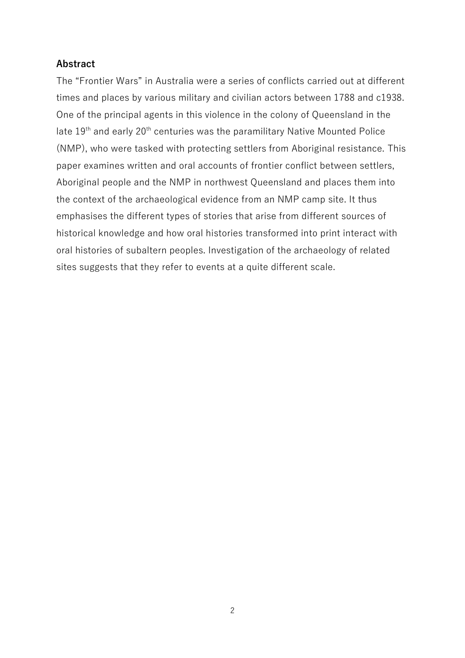# **Abstract**

The "Frontier Wars" in Australia were a series of conflicts carried out at different times and places by various military and civilian actors between 1788 and c1938. One of the principal agents in this violence in the colony of Queensland in the late 19<sup>th</sup> and early 20<sup>th</sup> centuries was the paramilitary Native Mounted Police (NMP), who were tasked with protecting settlers from Aboriginal resistance. This paper examines written and oral accounts of frontier conflict between settlers, Aboriginal people and the NMP in northwest Queensland and places them into the context of the archaeological evidence from an NMP camp site. It thus emphasises the different types of stories that arise from different sources of historical knowledge and how oral histories transformed into print interact with oral histories of subaltern peoples. Investigation of the archaeology of related sites suggests that they refer to events at a quite different scale.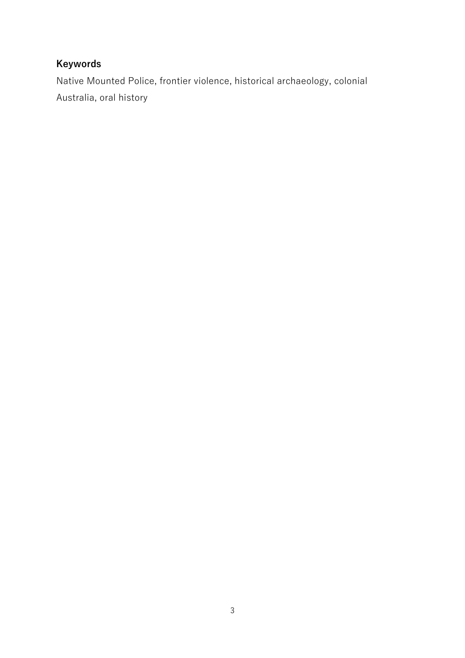# **Keywords**

Native Mounted Police, frontier violence, historical archaeology, colonial Australia, oral history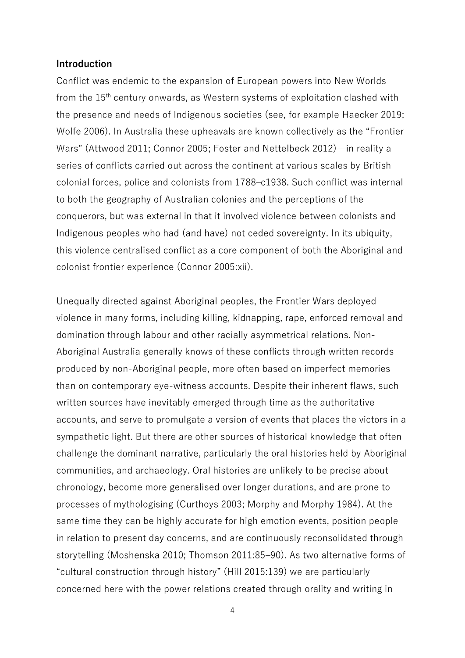#### **Introduction**

Conflict was endemic to the expansion of European powers into New Worlds from the 15<sup>th</sup> century onwards, as Western systems of exploitation clashed with the presence and needs of Indigenous societies (see, for example Haecker 2019; Wolfe 2006). In Australia these upheavals are known collectively as the "Frontier Wars" (Attwood 2011; Connor 2005; Foster and Nettelbeck 2012)—in reality a series of conflicts carried out across the continent at various scales by British colonial forces, police and colonists from 1788–c1938. Such conflict was internal to both the geography of Australian colonies and the perceptions of the conquerors, but was external in that it involved violence between colonists and Indigenous peoples who had (and have) not ceded sovereignty. In its ubiquity, this violence centralised conflict as a core component of both the Aboriginal and colonist frontier experience (Connor 2005:xii).

Unequally directed against Aboriginal peoples, the Frontier Wars deployed violence in many forms, including killing, kidnapping, rape, enforced removal and domination through labour and other racially asymmetrical relations. Non-Aboriginal Australia generally knows of these conflicts through written records produced by non-Aboriginal people, more often based on imperfect memories than on contemporary eye-witness accounts. Despite their inherent flaws, such written sources have inevitably emerged through time as the authoritative accounts, and serve to promulgate a version of events that places the victors in a sympathetic light. But there are other sources of historical knowledge that often challenge the dominant narrative, particularly the oral histories held by Aboriginal communities, and archaeology. Oral histories are unlikely to be precise about chronology, become more generalised over longer durations, and are prone to processes of mythologising (Curthoys 2003; Morphy and Morphy 1984). At the same time they can be highly accurate for high emotion events, position people in relation to present day concerns, and are continuously reconsolidated through storytelling (Moshenska 2010; Thomson 2011:85–90). As two alternative forms of "cultural construction through history" (Hill 2015:139) we are particularly concerned here with the power relations created through orality and writing in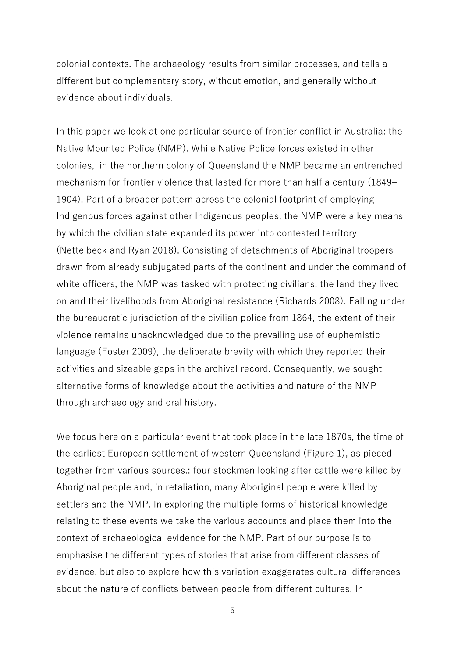colonial contexts. The archaeology results from similar processes, and tells a different but complementary story, without emotion, and generally without evidence about individuals.

In this paper we look at one particular source of frontier conflict in Australia: the Native Mounted Police (NMP). While Native Police forces existed in other colonies, in the northern colony of Queensland the NMP became an entrenched mechanism for frontier violence that lasted for more than half a century (1849– 1904). Part of a broader pattern across the colonial footprint of employing Indigenous forces against other Indigenous peoples, the NMP were a key means by which the civilian state expanded its power into contested territory (Nettelbeck and Ryan 2018). Consisting of detachments of Aboriginal troopers drawn from already subjugated parts of the continent and under the command of white officers, the NMP was tasked with protecting civilians, the land they lived on and their livelihoods from Aboriginal resistance (Richards 2008). Falling under the bureaucratic jurisdiction of the civilian police from 1864, the extent of their violence remains unacknowledged due to the prevailing use of euphemistic language (Foster 2009), the deliberate brevity with which they reported their activities and sizeable gaps in the archival record. Consequently, we sought alternative forms of knowledge about the activities and nature of the NMP through archaeology and oral history.

We focus here on a particular event that took place in the late 1870s, the time of the earliest European settlement of western Queensland (Figure 1), as pieced together from various sources.: four stockmen looking after cattle were killed by Aboriginal people and, in retaliation, many Aboriginal people were killed by settlers and the NMP. In exploring the multiple forms of historical knowledge relating to these events we take the various accounts and place them into the context of archaeological evidence for the NMP. Part of our purpose is to emphasise the different types of stories that arise from different classes of evidence, but also to explore how this variation exaggerates cultural differences about the nature of conflicts between people from different cultures. In

<sup>5</sup>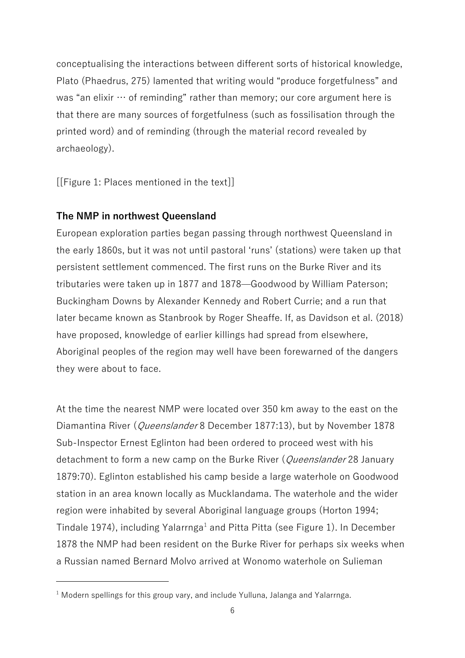conceptualising the interactions between different sorts of historical knowledge, Plato (Phaedrus, 275) lamented that writing would "produce forgetfulness" and was "an elixir  $\cdots$  of reminding" rather than memory; our core argument here is that there are many sources of forgetfulness (such as fossilisation through the printed word) and of reminding (through the material record revealed by archaeology).

[[Figure 1: Places mentioned in the text]]

# **The NMP in northwest Queensland**

European exploration parties began passing through northwest Queensland in the early 1860s, but it was not until pastoral 'runs' (stations) were taken up that persistent settlement commenced. The first runs on the Burke River and its tributaries were taken up in 1877 and 1878—Goodwood by William Paterson; Buckingham Downs by Alexander Kennedy and Robert Currie; and a run that later became known as Stanbrook by Roger Sheaffe. If, as Davidson et al. (2018) have proposed, knowledge of earlier killings had spread from elsewhere, Aboriginal peoples of the region may well have been forewarned of the dangers they were about to face.

At the time the nearest NMP were located over 350 km away to the east on the Diamantina River (*Queenslander* 8 December 1877:13), but by November 1878 Sub-Inspector Ernest Eglinton had been ordered to proceed west with his detachment to form a new camp on the Burke River (Queenslander 28 January 1879:70). Eglinton established his camp beside a large waterhole on Goodwood station in an area known locally as Mucklandama. The waterhole and the wider region were inhabited by several Aboriginal language groups (Horton 1994; Tindale 1974), including Yalarrnga<sup>1</sup> and Pitta Pitta (see Figure 1). In December 1878 the NMP had been resident on the Burke River for perhaps six weeks when a Russian named Bernard Molvo arrived at Wonomo waterhole on Sulieman

 $1$  Modern spellings for this group vary, and include Yulluna, Jalanga and Yalarrnga.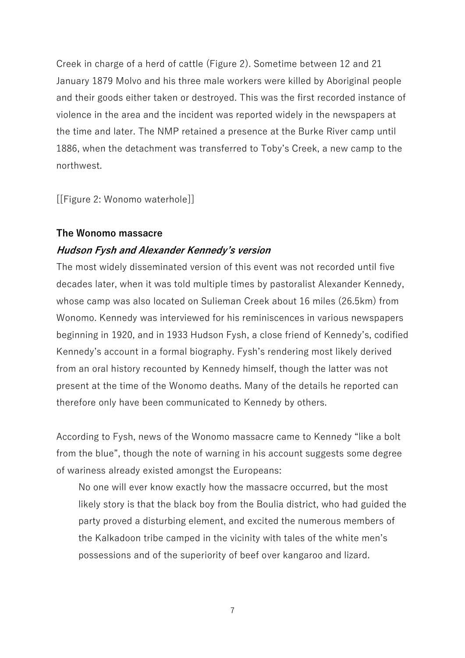Creek in charge of a herd of cattle (Figure 2). Sometime between 12 and 21 January 1879 Molvo and his three male workers were killed by Aboriginal people and their goods either taken or destroyed. This was the first recorded instance of violence in the area and the incident was reported widely in the newspapers at the time and later. The NMP retained a presence at the Burke River camp until 1886, when the detachment was transferred to Toby's Creek, a new camp to the northwest.

[[Figure 2: Wonomo waterhole]]

#### **The Wonomo massacre**

## **Hudson Fysh and Alexander Kennedy's version**

The most widely disseminated version of this event was not recorded until five decades later, when it was told multiple times by pastoralist Alexander Kennedy, whose camp was also located on Sulieman Creek about 16 miles (26.5km) from Wonomo. Kennedy was interviewed for his reminiscences in various newspapers beginning in 1920, and in 1933 Hudson Fysh, a close friend of Kennedy's, codified Kennedy's account in a formal biography. Fysh's rendering most likely derived from an oral history recounted by Kennedy himself, though the latter was not present at the time of the Wonomo deaths. Many of the details he reported can therefore only have been communicated to Kennedy by others.

According to Fysh, news of the Wonomo massacre came to Kennedy "like a bolt from the blue", though the note of warning in his account suggests some degree of wariness already existed amongst the Europeans:

No one will ever know exactly how the massacre occurred, but the most likely story is that the black boy from the Boulia district, who had guided the party proved a disturbing element, and excited the numerous members of the Kalkadoon tribe camped in the vicinity with tales of the white men's possessions and of the superiority of beef over kangaroo and lizard.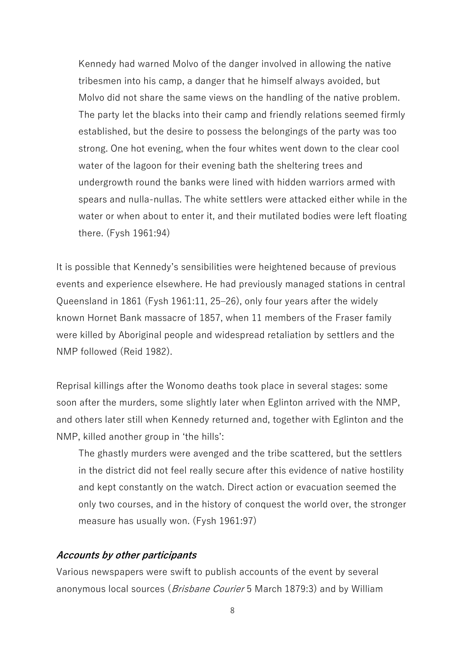Kennedy had warned Molvo of the danger involved in allowing the native tribesmen into his camp, a danger that he himself always avoided, but Molvo did not share the same views on the handling of the native problem. The party let the blacks into their camp and friendly relations seemed firmly established, but the desire to possess the belongings of the party was too strong. One hot evening, when the four whites went down to the clear cool water of the lagoon for their evening bath the sheltering trees and undergrowth round the banks were lined with hidden warriors armed with spears and nulla-nullas. The white settlers were attacked either while in the water or when about to enter it, and their mutilated bodies were left floating there. (Fysh 1961:94)

It is possible that Kennedy's sensibilities were heightened because of previous events and experience elsewhere. He had previously managed stations in central Queensland in 1861 (Fysh 1961:11, 25–26), only four years after the widely known Hornet Bank massacre of 1857, when 11 members of the Fraser family were killed by Aboriginal people and widespread retaliation by settlers and the NMP followed (Reid 1982).

Reprisal killings after the Wonomo deaths took place in several stages: some soon after the murders, some slightly later when Eglinton arrived with the NMP, and others later still when Kennedy returned and, together with Eglinton and the NMP, killed another group in 'the hills':

The ghastly murders were avenged and the tribe scattered, but the settlers in the district did not feel really secure after this evidence of native hostility and kept constantly on the watch. Direct action or evacuation seemed the only two courses, and in the history of conquest the world over, the stronger measure has usually won. (Fysh 1961:97)

## **Accounts by other participants**

Various newspapers were swift to publish accounts of the event by several anonymous local sources (*Brisbane Courier* 5 March 1879:3) and by William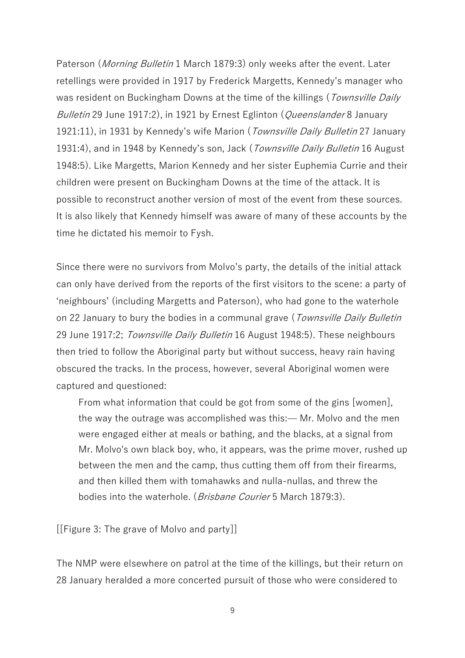Paterson (Morning Bulletin 1 March 1879:3) only weeks after the event. Later retellings were provided in 1917 by Frederick Margetts, Kennedy's manager who was resident on Buckingham Downs at the time of the killings (Townsville Daily Bulletin 29 June 1917:2), in 1921 by Ernest Eglinton (*Queenslander* 8 January 1921:11), in 1931 by Kennedy's wife Marion (Townsville Daily Bulletin 27 January 1931:4), and in 1948 by Kennedy's son, Jack (Townsville Daily Bulletin 16 August 1948:5). Like Margetts, Marion Kennedy and her sister Euphemia Currie and their children were present on Buckingham Downs at the time of the attack. It is possible to reconstruct another version of most of the event from these sources. It is also likely that Kennedy himself was aware of many of these accounts by the time he dictated his memoir to Fysh.

Since there were no survivors from Molvo's party, the details of the initial attack can only have derived from the reports of the first visitors to the scene: a party of 'neighbours' (including Margetts and Paterson), who had gone to the waterhole on 22 January to bury the bodies in a communal grave (*Townsville Daily Bulletin* 29 June 1917:2; Townsville Daily Bulletin 16 August 1948:5). These neighbours then tried to follow the Aboriginal party but without success, heavy rain having obscured the tracks. In the process, however, several Aboriginal women were captured and questioned:

From what information that could be got from some of the gins [women], the way the outrage was accomplished was this:— Mr. Molvo and the men were engaged either at meals or bathing, and the blacks, at a signal from Mr. Molvo's own black boy, who, it appears, was the prime mover, rushed up between the men and the camp, thus cutting them off from their firearms, and then killed them with tomahawks and nulla-nullas, and threw the bodies into the waterhole. (*Brisbane Courier* 5 March 1879:3).

[[Figure 3: The grave of Molvo and party]]

The NMP were elsewhere on patrol at the time of the killings, but their return on 28 January heralded a more concerted pursuit of those who were considered to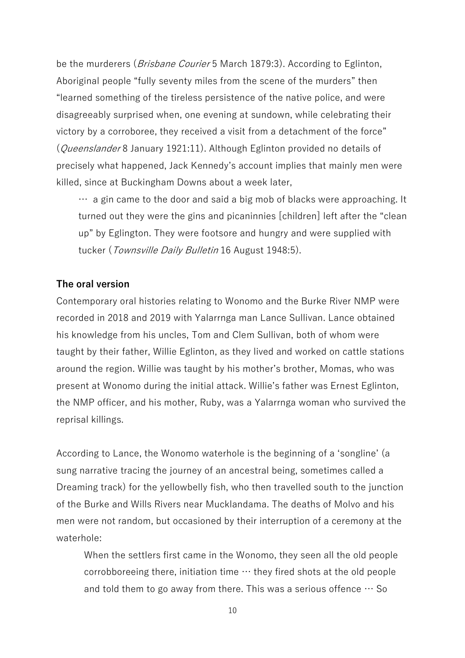be the murderers (*Brisbane Courier* 5 March 1879:3). According to Eglinton, Aboriginal people "fully seventy miles from the scene of the murders" then "learned something of the tireless persistence of the native police, and were disagreeably surprised when, one evening at sundown, while celebrating their victory by a corroboree, they received a visit from a detachment of the force" (Queenslander 8 January 1921:11). Although Eglinton provided no details of precisely what happened, Jack Kennedy's account implies that mainly men were killed, since at Buckingham Downs about a week later,

… a gin came to the door and said a big mob of blacks were approaching. It turned out they were the gins and picaninnies [children] left after the "clean up" by Eglington. They were footsore and hungry and were supplied with tucker (*Townsville Daily Bulletin* 16 August 1948:5).

## **The oral version**

Contemporary oral histories relating to Wonomo and the Burke River NMP were recorded in 2018 and 2019 with Yalarrnga man Lance Sullivan. Lance obtained his knowledge from his uncles, Tom and Clem Sullivan, both of whom were taught by their father, Willie Eglinton, as they lived and worked on cattle stations around the region. Willie was taught by his mother's brother, Momas, who was present at Wonomo during the initial attack. Willie's father was Ernest Eglinton, the NMP officer, and his mother, Ruby, was a Yalarrnga woman who survived the reprisal killings.

According to Lance, the Wonomo waterhole is the beginning of a 'songline' (a sung narrative tracing the journey of an ancestral being, sometimes called a Dreaming track) for the yellowbelly fish, who then travelled south to the junction of the Burke and Wills Rivers near Mucklandama. The deaths of Molvo and his men were not random, but occasioned by their interruption of a ceremony at the waterhole:

When the settlers first came in the Wonomo, they seen all the old people corrobboreeing there, initiation time  $\cdots$  they fired shots at the old people and told them to go away from there. This was a serious offence  $\cdots$  So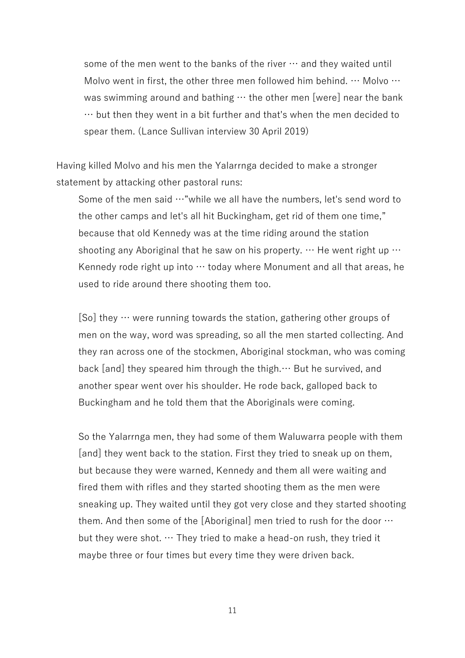some of the men went to the banks of the river  $\cdots$  and they waited until Molvo went in first, the other three men followed him behind. … Molvo … was swimming around and bathing  $\cdots$  the other men [were] near the bank … but then they went in a bit further and that's when the men decided to spear them. (Lance Sullivan interview 30 April 2019)

Having killed Molvo and his men the Yalarrnga decided to make a stronger statement by attacking other pastoral runs:

Some of the men said …"while we all have the numbers, let's send word to the other camps and let's all hit Buckingham, get rid of them one time," because that old Kennedy was at the time riding around the station shooting any Aboriginal that he saw on his property.  $\cdots$  He went right up  $\cdots$ Kennedy rode right up into … today where Monument and all that areas, he used to ride around there shooting them too.

 $[So]$  they  $\cdots$  were running towards the station, gathering other groups of men on the way, word was spreading, so all the men started collecting. And they ran across one of the stockmen, Aboriginal stockman, who was coming back [and] they speared him through the thigh.… But he survived, and another spear went over his shoulder. He rode back, galloped back to Buckingham and he told them that the Aboriginals were coming.

So the Yalarrnga men, they had some of them Waluwarra people with them [and] they went back to the station. First they tried to sneak up on them, but because they were warned, Kennedy and them all were waiting and fired them with rifles and they started shooting them as the men were sneaking up. They waited until they got very close and they started shooting them. And then some of the [Aboriginal] men tried to rush for the door  $\cdots$ but they were shot. … They tried to make a head-on rush, they tried it maybe three or four times but every time they were driven back.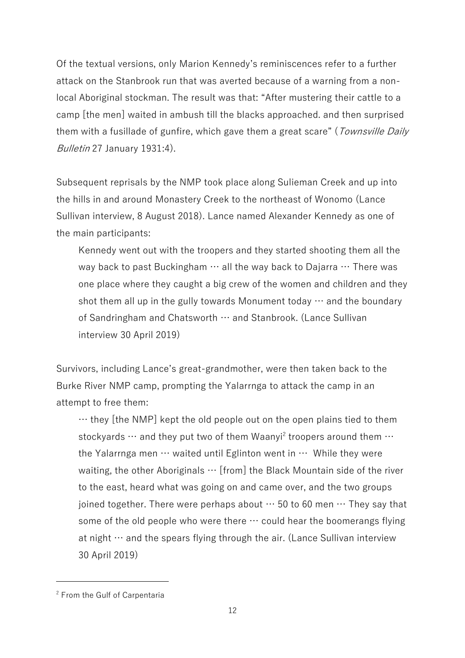Of the textual versions, only Marion Kennedy's reminiscences refer to a further attack on the Stanbrook run that was averted because of a warning from a nonlocal Aboriginal stockman. The result was that: "After mustering their cattle to a camp [the men] waited in ambush till the blacks approached. and then surprised them with a fusillade of gunfire, which gave them a great scare" (Townsville Daily Bulletin 27 January 1931:4).

Subsequent reprisals by the NMP took place along Sulieman Creek and up into the hills in and around Monastery Creek to the northeast of Wonomo (Lance Sullivan interview, 8 August 2018). Lance named Alexander Kennedy as one of the main participants:

Kennedy went out with the troopers and they started shooting them all the way back to past Buckingham  $\cdots$  all the way back to Dajarra  $\cdots$  There was one place where they caught a big crew of the women and children and they shot them all up in the gully towards Monument today  $\cdots$  and the boundary of Sandringham and Chatsworth … and Stanbrook. (Lance Sullivan interview 30 April 2019)

Survivors, including Lance's great-grandmother, were then taken back to the Burke River NMP camp, prompting the Yalarrnga to attack the camp in an attempt to free them:

… they [the NMP] kept the old people out on the open plains tied to them stockyards  $\cdots$  and they put two of them Waanyi<sup>2</sup> troopers around them  $\cdots$ the Yalarrnga men  $\cdots$  waited until Eglinton went in  $\cdots$  While they were waiting, the other Aboriginals  $\cdots$  [from] the Black Mountain side of the river to the east, heard what was going on and came over, and the two groups joined together. There were perhaps about  $\cdots$  50 to 60 men  $\cdots$  They say that some of the old people who were there  $\cdots$  could hear the boomerangs flying at night  $\cdots$  and the spears flying through the air. (Lance Sullivan interview 30 April 2019)

<sup>2</sup> From the Gulf of Carpentaria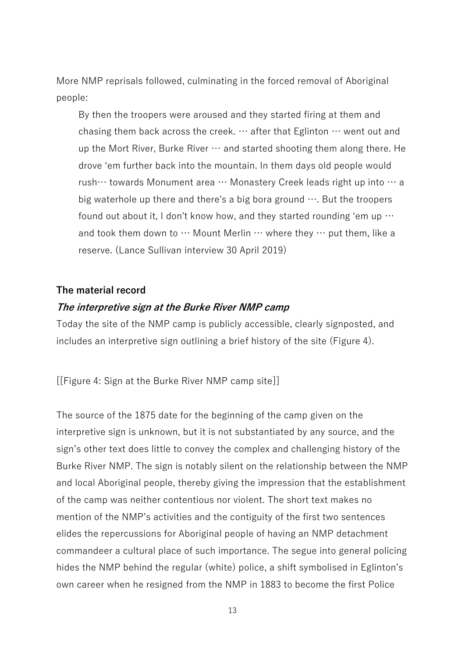More NMP reprisals followed, culminating in the forced removal of Aboriginal people:

By then the troopers were aroused and they started firing at them and chasing them back across the creek. … after that Eglinton … went out and up the Mort River, Burke River  $\cdots$  and started shooting them along there. He drove 'em further back into the mountain. In them days old people would rush… towards Monument area … Monastery Creek leads right up into … a big waterhole up there and there's a big bora ground  $\cdots$ . But the troopers found out about it, I don't know how, and they started rounding 'em up  $\cdots$ and took them down to  $\cdots$  Mount Merlin  $\cdots$  where they  $\cdots$  put them, like a reserve. (Lance Sullivan interview 30 April 2019)

#### **The material record**

#### **The interpretive sign at the Burke River NMP camp**

Today the site of the NMP camp is publicly accessible, clearly signposted, and includes an interpretive sign outlining a brief history of the site (Figure 4).

[[Figure 4: Sign at the Burke River NMP camp site]]

The source of the 1875 date for the beginning of the camp given on the interpretive sign is unknown, but it is not substantiated by any source, and the sign's other text does little to convey the complex and challenging history of the Burke River NMP. The sign is notably silent on the relationship between the NMP and local Aboriginal people, thereby giving the impression that the establishment of the camp was neither contentious nor violent. The short text makes no mention of the NMP's activities and the contiguity of the first two sentences elides the repercussions for Aboriginal people of having an NMP detachment commandeer a cultural place of such importance. The segue into general policing hides the NMP behind the regular (white) police, a shift symbolised in Eglinton's own career when he resigned from the NMP in 1883 to become the first Police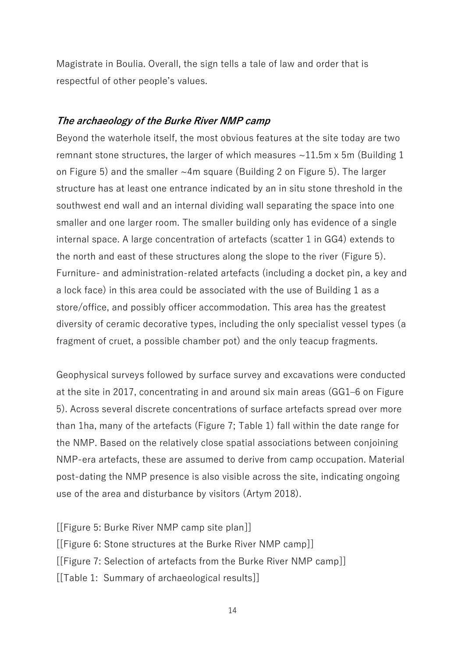Magistrate in Boulia. Overall, the sign tells a tale of law and order that is respectful of other people's values.

## **The archaeology of the Burke River NMP camp**

Beyond the waterhole itself, the most obvious features at the site today are two remnant stone structures, the larger of which measures  $\sim$ 11.5m x 5m (Building 1) on Figure 5) and the smaller ~4m square (Building 2 on Figure 5). The larger structure has at least one entrance indicated by an in situ stone threshold in the southwest end wall and an internal dividing wall separating the space into one smaller and one larger room. The smaller building only has evidence of a single internal space. A large concentration of artefacts (scatter 1 in GG4) extends to the north and east of these structures along the slope to the river (Figure 5). Furniture- and administration-related artefacts (including a docket pin, a key and a lock face) in this area could be associated with the use of Building 1 as a store/office, and possibly officer accommodation. This area has the greatest diversity of ceramic decorative types, including the only specialist vessel types (a fragment of cruet, a possible chamber pot) and the only teacup fragments.

Geophysical surveys followed by surface survey and excavations were conducted at the site in 2017, concentrating in and around six main areas (GG1–6 on Figure 5). Across several discrete concentrations of surface artefacts spread over more than 1ha, many of the artefacts (Figure 7; Table 1) fall within the date range for the NMP. Based on the relatively close spatial associations between conjoining NMP-era artefacts, these are assumed to derive from camp occupation. Material post-dating the NMP presence is also visible across the site, indicating ongoing use of the area and disturbance by visitors (Artym 2018).

[[Figure 5: Burke River NMP camp site plan]] [[Figure 6: Stone structures at the Burke River NMP camp]] [[Figure 7: Selection of artefacts from the Burke River NMP camp]] [[Table 1: Summary of archaeological results]]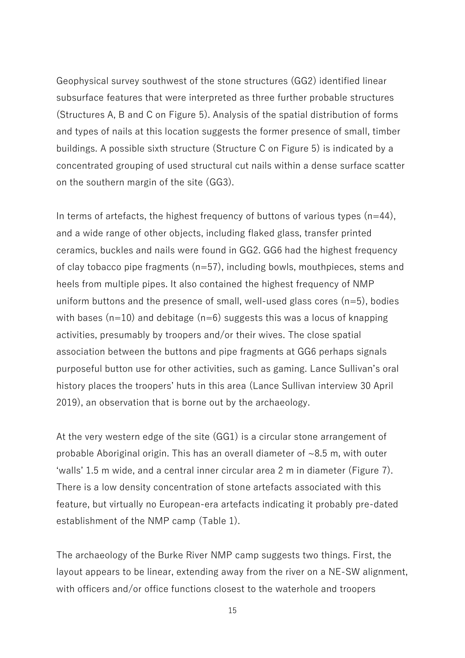Geophysical survey southwest of the stone structures (GG2) identified linear subsurface features that were interpreted as three further probable structures (Structures A, B and C on Figure 5). Analysis of the spatial distribution of forms and types of nails at this location suggests the former presence of small, timber buildings. A possible sixth structure (Structure C on Figure 5) is indicated by a concentrated grouping of used structural cut nails within a dense surface scatter on the southern margin of the site (GG3).

In terms of artefacts, the highest frequency of buttons of various types  $(n=44)$ , and a wide range of other objects, including flaked glass, transfer printed ceramics, buckles and nails were found in GG2. GG6 had the highest frequency of clay tobacco pipe fragments (n=57), including bowls, mouthpieces, stems and heels from multiple pipes. It also contained the highest frequency of NMP uniform buttons and the presence of small, well-used glass cores  $(n=5)$ , bodies with bases ( $n=10$ ) and debitage ( $n=6$ ) suggests this was a locus of knapping activities, presumably by troopers and/or their wives. The close spatial association between the buttons and pipe fragments at GG6 perhaps signals purposeful button use for other activities, such as gaming. Lance Sullivan's oral history places the troopers' huts in this area (Lance Sullivan interview 30 April 2019), an observation that is borne out by the archaeology.

At the very western edge of the site (GG1) is a circular stone arrangement of probable Aboriginal origin. This has an overall diameter of ~8.5 m, with outer 'walls' 1.5 m wide, and a central inner circular area 2 m in diameter (Figure 7). There is a low density concentration of stone artefacts associated with this feature, but virtually no European-era artefacts indicating it probably pre-dated establishment of the NMP camp (Table 1).

The archaeology of the Burke River NMP camp suggests two things. First, the layout appears to be linear, extending away from the river on a NE-SW alignment, with officers and/or office functions closest to the waterhole and troopers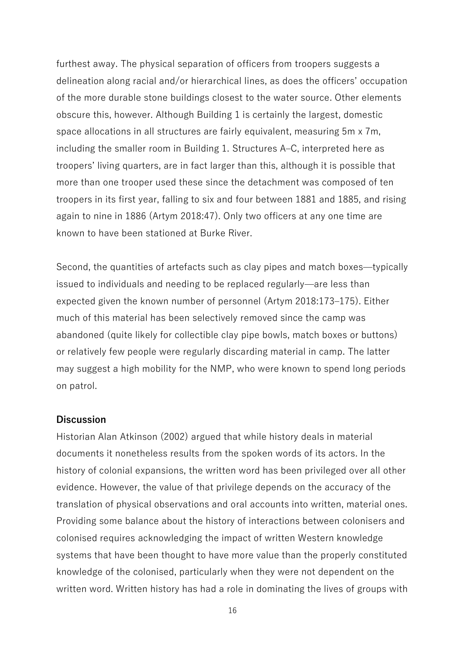furthest away. The physical separation of officers from troopers suggests a delineation along racial and/or hierarchical lines, as does the officers' occupation of the more durable stone buildings closest to the water source. Other elements obscure this, however. Although Building 1 is certainly the largest, domestic space allocations in all structures are fairly equivalent, measuring 5m x 7m, including the smaller room in Building 1. Structures A–C, interpreted here as troopers' living quarters, are in fact larger than this, although it is possible that more than one trooper used these since the detachment was composed of ten troopers in its first year, falling to six and four between 1881 and 1885, and rising again to nine in 1886 (Artym 2018:47). Only two officers at any one time are known to have been stationed at Burke River.

Second, the quantities of artefacts such as clay pipes and match boxes—typically issued to individuals and needing to be replaced regularly—are less than expected given the known number of personnel (Artym 2018:173–175). Either much of this material has been selectively removed since the camp was abandoned (quite likely for collectible clay pipe bowls, match boxes or buttons) or relatively few people were regularly discarding material in camp. The latter may suggest a high mobility for the NMP, who were known to spend long periods on patrol.

#### **Discussion**

Historian Alan Atkinson (2002) argued that while history deals in material documents it nonetheless results from the spoken words of its actors. In the history of colonial expansions, the written word has been privileged over all other evidence. However, the value of that privilege depends on the accuracy of the translation of physical observations and oral accounts into written, material ones. Providing some balance about the history of interactions between colonisers and colonised requires acknowledging the impact of written Western knowledge systems that have been thought to have more value than the properly constituted knowledge of the colonised, particularly when they were not dependent on the written word. Written history has had a role in dominating the lives of groups with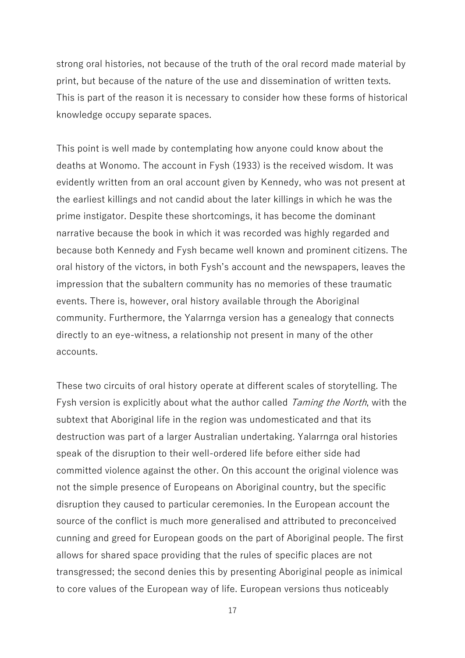strong oral histories, not because of the truth of the oral record made material by print, but because of the nature of the use and dissemination of written texts. This is part of the reason it is necessary to consider how these forms of historical knowledge occupy separate spaces.

This point is well made by contemplating how anyone could know about the deaths at Wonomo. The account in Fysh (1933) is the received wisdom. It was evidently written from an oral account given by Kennedy, who was not present at the earliest killings and not candid about the later killings in which he was the prime instigator. Despite these shortcomings, it has become the dominant narrative because the book in which it was recorded was highly regarded and because both Kennedy and Fysh became well known and prominent citizens. The oral history of the victors, in both Fysh's account and the newspapers, leaves the impression that the subaltern community has no memories of these traumatic events. There is, however, oral history available through the Aboriginal community. Furthermore, the Yalarrnga version has a genealogy that connects directly to an eye-witness, a relationship not present in many of the other accounts.

These two circuits of oral history operate at different scales of storytelling. The Fysh version is explicitly about what the author called *Taming the North*, with the subtext that Aboriginal life in the region was undomesticated and that its destruction was part of a larger Australian undertaking. Yalarrnga oral histories speak of the disruption to their well-ordered life before either side had committed violence against the other. On this account the original violence was not the simple presence of Europeans on Aboriginal country, but the specific disruption they caused to particular ceremonies. In the European account the source of the conflict is much more generalised and attributed to preconceived cunning and greed for European goods on the part of Aboriginal people. The first allows for shared space providing that the rules of specific places are not transgressed; the second denies this by presenting Aboriginal people as inimical to core values of the European way of life. European versions thus noticeably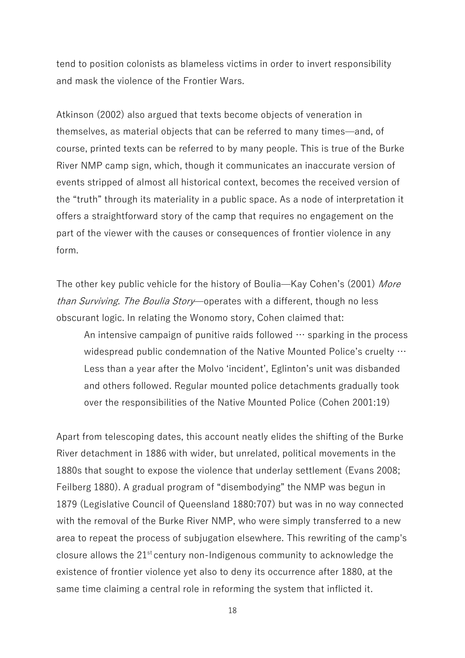tend to position colonists as blameless victims in order to invert responsibility and mask the violence of the Frontier Wars.

Atkinson (2002) also argued that texts become objects of veneration in themselves, as material objects that can be referred to many times—and, of course, printed texts can be referred to by many people. This is true of the Burke River NMP camp sign, which, though it communicates an inaccurate version of events stripped of almost all historical context, becomes the received version of the "truth" through its materiality in a public space. As a node of interpretation it offers a straightforward story of the camp that requires no engagement on the part of the viewer with the causes or consequences of frontier violence in any form.

The other key public vehicle for the history of Boulia—Kay Cohen's (2001) More than Surviving. The Boulia Story—operates with a different, though no less obscurant logic. In relating the Wonomo story, Cohen claimed that:

An intensive campaign of punitive raids followed  $\cdots$  sparking in the process widespread public condemnation of the Native Mounted Police's cruelty … Less than a year after the Molvo 'incident', Eglinton's unit was disbanded and others followed. Regular mounted police detachments gradually took over the responsibilities of the Native Mounted Police (Cohen 2001:19)

Apart from telescoping dates, this account neatly elides the shifting of the Burke River detachment in 1886 with wider, but unrelated, political movements in the 1880s that sought to expose the violence that underlay settlement (Evans 2008; Feilberg 1880). A gradual program of "disembodying" the NMP was begun in 1879 (Legislative Council of Queensland 1880:707) but was in no way connected with the removal of the Burke River NMP, who were simply transferred to a new area to repeat the process of subjugation elsewhere. This rewriting of the camp's closure allows the  $21^{st}$  century non-Indigenous community to acknowledge the existence of frontier violence yet also to deny its occurrence after 1880, at the same time claiming a central role in reforming the system that inflicted it.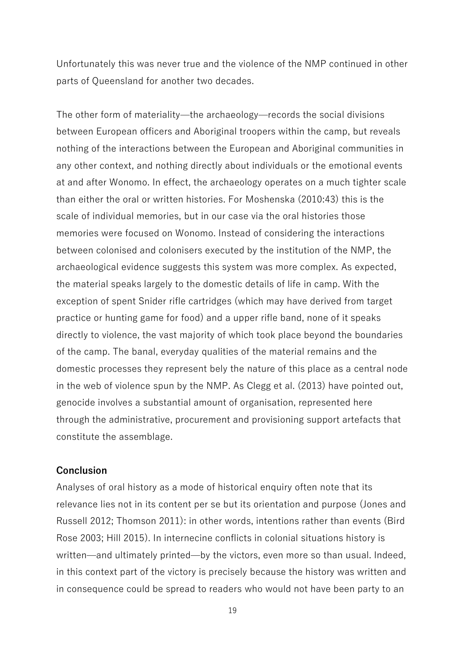Unfortunately this was never true and the violence of the NMP continued in other parts of Queensland for another two decades.

The other form of materiality—the archaeology—records the social divisions between European officers and Aboriginal troopers within the camp, but reveals nothing of the interactions between the European and Aboriginal communities in any other context, and nothing directly about individuals or the emotional events at and after Wonomo. In effect, the archaeology operates on a much tighter scale than either the oral or written histories. For Moshenska (2010:43) this is the scale of individual memories, but in our case via the oral histories those memories were focused on Wonomo. Instead of considering the interactions between colonised and colonisers executed by the institution of the NMP, the archaeological evidence suggests this system was more complex. As expected, the material speaks largely to the domestic details of life in camp. With the exception of spent Snider rifle cartridges (which may have derived from target practice or hunting game for food) and a upper rifle band, none of it speaks directly to violence, the vast majority of which took place beyond the boundaries of the camp. The banal, everyday qualities of the material remains and the domestic processes they represent bely the nature of this place as a central node in the web of violence spun by the NMP. As Clegg et al. (2013) have pointed out, genocide involves a substantial amount of organisation, represented here through the administrative, procurement and provisioning support artefacts that constitute the assemblage.

#### **Conclusion**

Analyses of oral history as a mode of historical enquiry often note that its relevance lies not in its content per se but its orientation and purpose (Jones and Russell 2012; Thomson 2011): in other words, intentions rather than events (Bird Rose 2003; Hill 2015). In internecine conflicts in colonial situations history is written—and ultimately printed—by the victors, even more so than usual. Indeed, in this context part of the victory is precisely because the history was written and in consequence could be spread to readers who would not have been party to an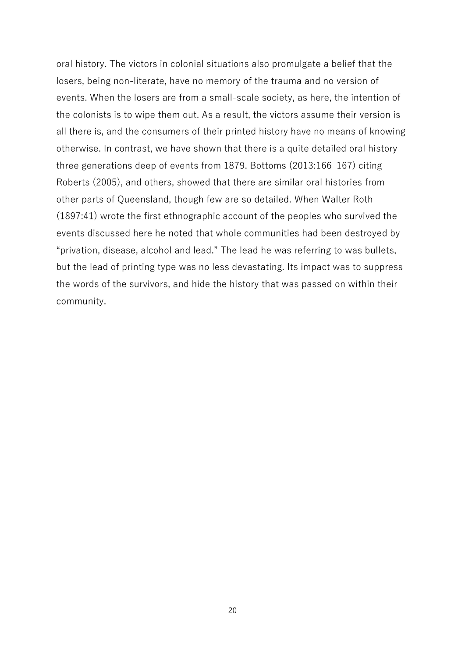oral history. The victors in colonial situations also promulgate a belief that the losers, being non-literate, have no memory of the trauma and no version of events. When the losers are from a small-scale society, as here, the intention of the colonists is to wipe them out. As a result, the victors assume their version is all there is, and the consumers of their printed history have no means of knowing otherwise. In contrast, we have shown that there is a quite detailed oral history three generations deep of events from 1879. Bottoms (2013:166–167) citing Roberts (2005), and others, showed that there are similar oral histories from other parts of Queensland, though few are so detailed. When Walter Roth (1897:41) wrote the first ethnographic account of the peoples who survived the events discussed here he noted that whole communities had been destroyed by "privation, disease, alcohol and lead." The lead he was referring to was bullets, but the lead of printing type was no less devastating. Its impact was to suppress the words of the survivors, and hide the history that was passed on within their community.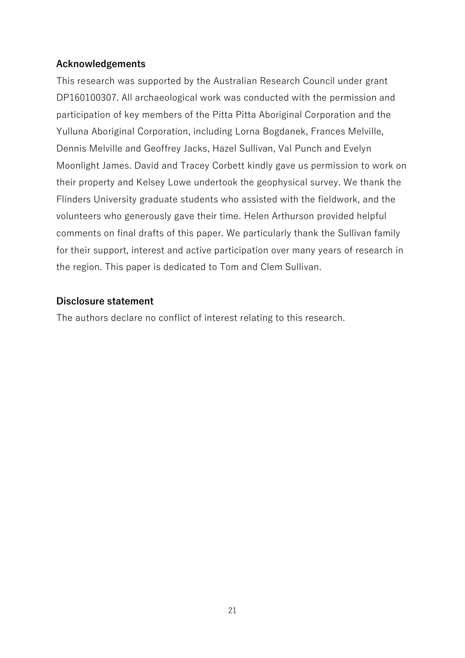# **Acknowledgements**

This research was supported by the Australian Research Council under grant DP160100307. All archaeological work was conducted with the permission and participation of key members of the Pitta Pitta Aboriginal Corporation and the Yulluna Aboriginal Corporation, including Lorna Bogdanek, Frances Melville, Dennis Melville and Geoffrey Jacks, Hazel Sullivan, Val Punch and Evelyn Moonlight James. David and Tracey Corbett kindly gave us permission to work on their property and Kelsey Lowe undertook the geophysical survey. We thank the Flinders University graduate students who assisted with the fieldwork, and the volunteers who generously gave their time. Helen Arthurson provided helpful comments on final drafts of this paper. We particularly thank the Sullivan family for their support, interest and active participation over many years of research in the region. This paper is dedicated to Tom and Clem Sullivan.

# **Disclosure statement**

The authors declare no conflict of interest relating to this research.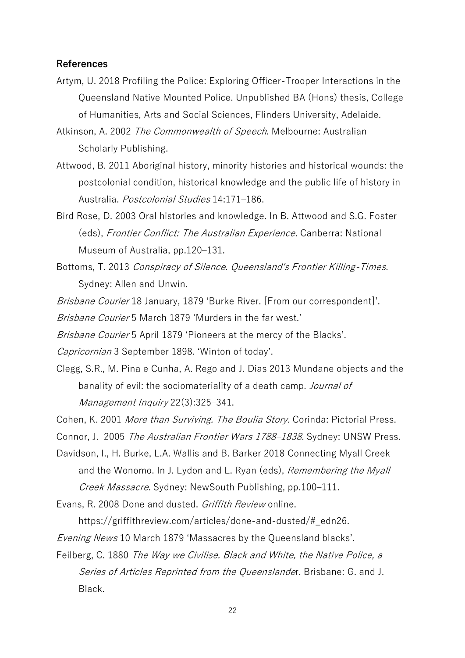#### **References**

Artym, U. 2018 Profiling the Police: Exploring Officer-Trooper Interactions in the Queensland Native Mounted Police. Unpublished BA (Hons) thesis, College of Humanities, Arts and Social Sciences, Flinders University, Adelaide.

Atkinson, A. 2002 The Commonwealth of Speech. Melbourne: Australian Scholarly Publishing.

- Attwood, B. 2011 Aboriginal history, minority histories and historical wounds: the postcolonial condition, historical knowledge and the public life of history in Australia. Postcolonial Studies 14:171–186.
- Bird Rose, D. 2003 Oral histories and knowledge. In B. Attwood and S.G. Foster (eds), Frontier Conflict: The Australian Experience. Canberra: National Museum of Australia, pp.120–131.
- Bottoms, T. 2013 Conspiracy of Silence. Queensland's Frontier Killing-Times. Sydney: Allen and Unwin.

*Brisbane Courier* 18 January, 1879 'Burke River. [From our correspondent]'.

Brisbane Courier 5 March 1879 'Murders in the far west.'

Brisbane Courier 5 April 1879 'Pioneers at the mercy of the Blacks'.

Capricornian 3 September 1898. 'Winton of today'.

Clegg, S.R., M. Pina e Cunha, A. Rego and J. Dias 2013 Mundane objects and the banality of evil: the sociomateriality of a death camp. Journal of Management Inquiry 22(3):325–341.

Cohen, K. 2001 More than Surviving. The Boulia Story. Corinda: Pictorial Press.

Connor, J. 2005 The Australian Frontier Wars 1788–1838. Sydney: UNSW Press.

- Davidson, I., H. Burke, L.A. Wallis and B. Barker 2018 Connecting Myall Creek and the Wonomo. In J. Lydon and L. Ryan (eds), Remembering the Myall Creek Massacre. Sydney: NewSouth Publishing, pp.100–111.
- Evans, R. 2008 Done and dusted. Griffith Review online.

https://griffithreview.com/articles/done-and-dusted/#\_edn26.

Evening News 10 March 1879 'Massacres by the Queensland blacks'.

Feilberg, C. 1880 The Way we Civilise. Black and White, the Native Police, a Series of Articles Reprinted from the Queenslander. Brisbane: G. and J. Black.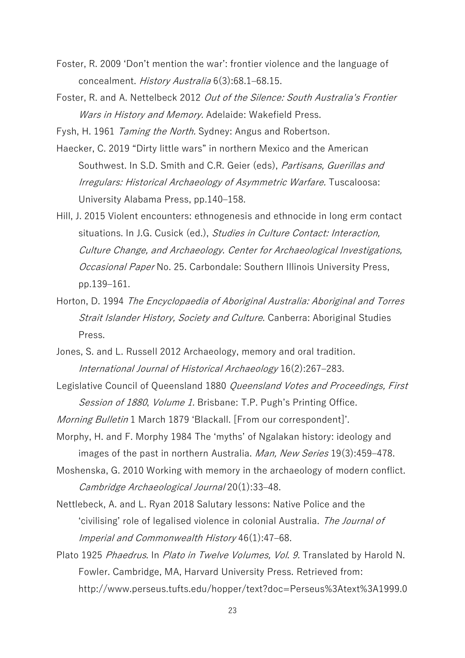- Foster, R. 2009 'Don't mention the war': frontier violence and the language of concealment. History Australia 6(3):68.1–68.15.
- Foster, R. and A. Nettelbeck 2012 Out of the Silence: South Australia's Frontier Wars in History and Memory. Adelaide: Wakefield Press.

Fysh, H. 1961 Taming the North. Sydney: Angus and Robertson.

- Haecker, C. 2019 "Dirty little wars" in northern Mexico and the American Southwest. In S.D. Smith and C.R. Geier (eds), Partisans, Guerillas and Irregulars: Historical Archaeology of Asymmetric Warfare. Tuscaloosa: University Alabama Press, pp.140–158.
- Hill, J. 2015 Violent encounters: ethnogenesis and ethnocide in long erm contact situations. In J.G. Cusick (ed.), Studies in Culture Contact: Interaction, Culture Change, and Archaeology. Center for Archaeological Investigations, Occasional Paper No. 25. Carbondale: Southern Illinois University Press, pp.139–161.
- Horton, D. 1994 The Encyclopaedia of Aboriginal Australia: Aboriginal and Torres Strait Islander History, Society and Culture. Canberra: Aboriginal Studies Press.
- Jones, S. and L. Russell 2012 Archaeology, memory and oral tradition. International Journal of Historical Archaeology 16(2):267–283.
- Legislative Council of Queensland 1880 Queensland Votes and Proceedings, First Session of 1880, Volume 1. Brisbane: T.P. Pugh's Printing Office.

Morning Bulletin 1 March 1879 'Blackall. [From our correspondent]'.

- Morphy, H. and F. Morphy 1984 The 'myths' of Ngalakan history: ideology and images of the past in northern Australia. Man, New Series 19(3):459–478.
- Moshenska, G. 2010 Working with memory in the archaeology of modern conflict. Cambridge Archaeological Journal 20(1):33–48.
- Nettlebeck, A. and L. Ryan 2018 Salutary lessons: Native Police and the 'civilising' role of legalised violence in colonial Australia. The Journal of Imperial and Commonwealth History 46(1):47–68.
- Plato 1925 Phaedrus. In Plato in Twelve Volumes, Vol. 9. Translated by Harold N. Fowler. Cambridge, MA, Harvard University Press. Retrieved from: [http://www.perseus.tufts.edu/hopper/text?doc=Perseus%3Atext%3A1999.0](http://www.perseus.tufts.edu/hopper/text?doc=Perseus%3Atext%3A1999.01.0174%3Atext%3DPhaedrus%3Apage%3D275)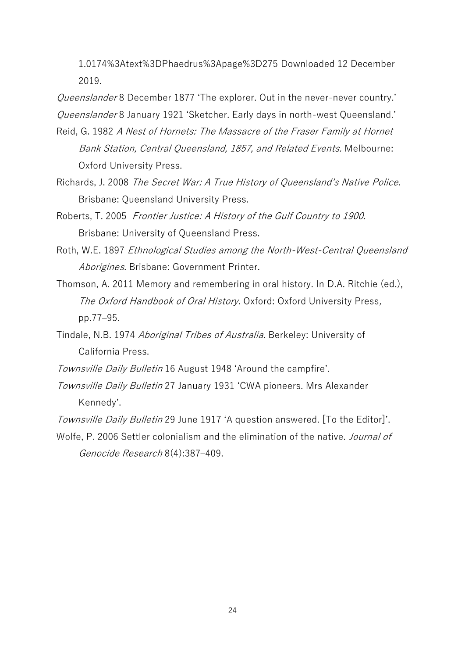[1.0174%3Atext%3DPhaedrus%3Apage%3D275](http://www.perseus.tufts.edu/hopper/text?doc=Perseus%3Atext%3A1999.01.0174%3Atext%3DPhaedrus%3Apage%3D275) Downloaded 12 December 2019.

Queenslander 8 December 1877 'The explorer. Out in the never-never country.' Queenslander 8 January 1921 'Sketcher. Early days in north-west Queensland.'

- Reid, G. 1982 A Nest of Hornets: The Massacre of the Fraser Family at Hornet Bank Station, Central Queensland, 1857, and Related Events. Melbourne: Oxford University Press.
- Richards, J. 2008 The Secret War: A True History of Queensland's Native Police. Brisbane: Queensland University Press.
- Roberts, T. 2005 Frontier Justice: A History of the Gulf Country to 1900. Brisbane: University of Queensland Press.
- Roth, W.E. 1897 Ethnological Studies among the North-West-Central Queensland Aborigines. Brisbane: Government Printer.
- Thomson, A. 2011 Memory and remembering in oral history. In D.A. Ritchie (ed.), The Oxford Handbook of Oral History. Oxford: Oxford University Press, pp.77–95.
- Tindale, N.B. 1974 Aboriginal Tribes of Australia. Berkeley: University of California Press.
- Townsville Daily Bulletin 16 August 1948 'Around the campfire'.
- Townsville Daily Bulletin 27 January 1931 'CWA pioneers. Mrs Alexander Kennedy'.
- Townsville Daily Bulletin 29 June 1917 'A question answered. [To the Editor]'.
- Wolfe, P. 2006 Settler colonialism and the elimination of the native. Journal of Genocide Research 8(4):387–409.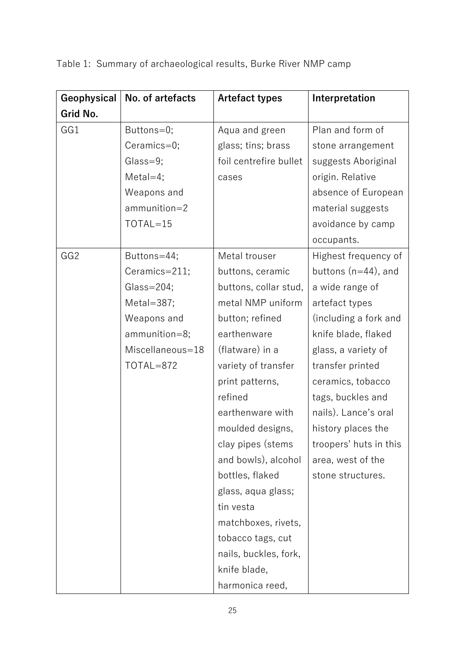| Geophysical     | No. of artefacts | <b>Artefact types</b>  | Interpretation         |
|-----------------|------------------|------------------------|------------------------|
| Grid No.        |                  |                        |                        |
| GG1             | Buttons=0;       | Aqua and green         | Plan and form of       |
|                 | $Ceramics=0;$    | glass; tins; brass     | stone arrangement      |
|                 | Glass=9;         | foil centrefire bullet | suggests Aboriginal    |
|                 | $MetaI=4;$       | cases                  | origin. Relative       |
|                 | Weapons and      |                        | absence of European    |
|                 | $ammunition = 2$ |                        | material suggests      |
|                 | TOTAL=15         |                        | avoidance by camp      |
|                 |                  |                        | occupants.             |
| GG <sub>2</sub> | Buttons=44;      | Metal trouser          | Highest frequency of   |
|                 | Ceramics=211;    | buttons, ceramic       | buttons $(n=44)$ , and |
|                 | $Glass = 204;$   | buttons, collar stud,  | a wide range of        |
|                 | Metal= $387;$    | metal NMP uniform      | artefact types         |
|                 | Weapons and      | button; refined        | (including a fork and  |
|                 | ammunition=8;    | earthenware            | knife blade, flaked    |
|                 | Miscellaneous=18 | (flatware) in a        | glass, a variety of    |
|                 | TOTAL=872        | variety of transfer    | transfer printed       |
|                 |                  | print patterns,        | ceramics, tobacco      |
|                 |                  | refined                | tags, buckles and      |
|                 |                  | earthenware with       | nails). Lance's oral   |
|                 |                  | moulded designs,       | history places the     |
|                 |                  | clay pipes (stems      | troopers' huts in this |
|                 |                  | and bowls), alcohol    | area, west of the      |
|                 |                  | bottles, flaked        | stone structures.      |
|                 |                  | glass, aqua glass;     |                        |
|                 |                  | tin vesta              |                        |
|                 |                  | matchboxes, rivets,    |                        |
|                 |                  | tobacco tags, cut      |                        |
|                 |                  | nails, buckles, fork,  |                        |
|                 |                  | knife blade,           |                        |
|                 |                  | harmonica reed,        |                        |

Table 1: Summary of archaeological results, Burke River NMP camp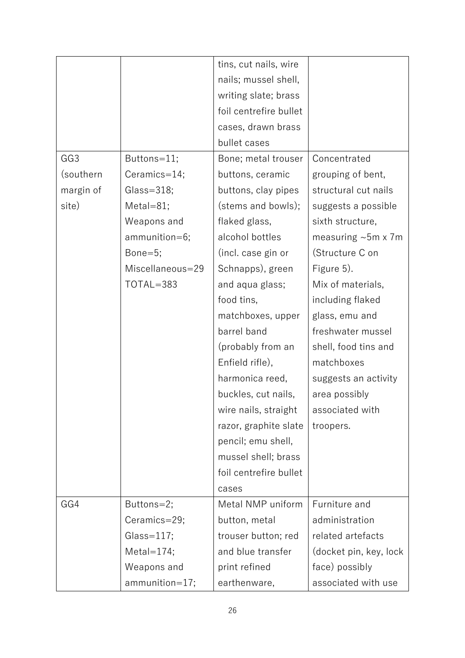|                 |                  | tins, cut nails, wire  |                           |
|-----------------|------------------|------------------------|---------------------------|
|                 |                  | nails; mussel shell,   |                           |
|                 |                  | writing slate; brass   |                           |
|                 |                  | foil centrefire bullet |                           |
|                 |                  | cases, drawn brass     |                           |
|                 |                  | bullet cases           |                           |
| GG <sub>3</sub> | Buttons=11;      | Bone; metal trouser    | Concentrated              |
| (southern       | Ceramics=14;     | buttons, ceramic       | grouping of bent,         |
| margin of       | $Glass = 318;$   | buttons, clay pipes    | structural cut nails      |
| site)           | $MetaI=81;$      | (stems and bowls);     | suggests a possible       |
|                 | Weapons and      | flaked glass,          | sixth structure,          |
|                 | ammunition=6;    | alcohol bottles        | measuring $~5m \times 7m$ |
|                 | Bone= $5$ ;      | (incl. case gin or     | (Structure C on           |
|                 | Miscellaneous=29 | Schnapps), green       | Figure 5).                |
|                 | TOTAL=383        | and aqua glass;        | Mix of materials,         |
|                 |                  | food tins,             | including flaked          |
|                 |                  | matchboxes, upper      | glass, emu and            |
|                 |                  | barrel band            | freshwater mussel         |
|                 |                  | (probably from an      | shell, food tins and      |
|                 |                  | Enfield rifle),        | matchboxes                |
|                 |                  | harmonica reed,        | suggests an activity      |
|                 |                  | buckles, cut nails,    | area possibly             |
|                 |                  | wire nails, straight   | associated with           |
|                 |                  | razor, graphite slate  | troopers.                 |
|                 |                  | pencil; emu shell,     |                           |
|                 |                  | mussel shell; brass    |                           |
|                 |                  | foil centrefire bullet |                           |
|                 |                  | cases                  |                           |
| GG4             | Buttons=2;       | Metal NMP uniform      | Furniture and             |
|                 | Ceramics=29;     | button, metal          | administration            |
|                 | Glass= $117;$    | trouser button; red    | related artefacts         |
|                 | Metal= $174$ ;   | and blue transfer      | (docket pin, key, lock    |
|                 | Weapons and      | print refined          | face) possibly            |
|                 | ammunition=17;   | earthenware,           | associated with use       |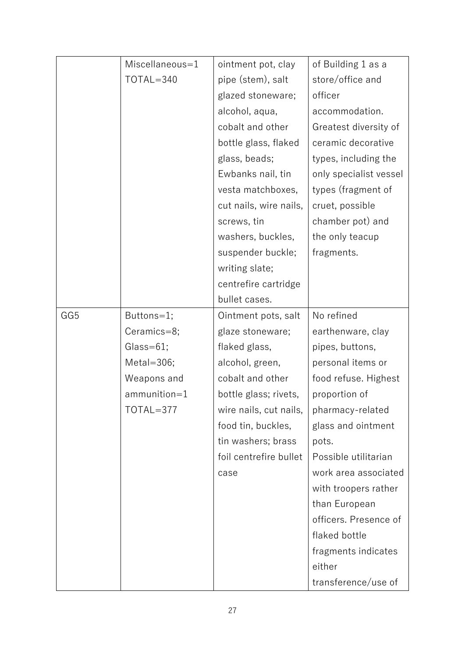|     | Miscellaneous=1  | ointment pot, clay     | of Building 1 as a     |
|-----|------------------|------------------------|------------------------|
|     | TOTAL=340        | pipe (stem), salt      | store/office and       |
|     |                  | glazed stoneware;      | officer                |
|     |                  | alcohol, aqua,         | accommodation.         |
|     |                  | cobalt and other       | Greatest diversity of  |
|     |                  | bottle glass, flaked   | ceramic decorative     |
|     |                  | glass, beads;          | types, including the   |
|     |                  | Ewbanks nail, tin      | only specialist vessel |
|     |                  | vesta matchboxes,      | types (fragment of     |
|     |                  | cut nails, wire nails, | cruet, possible        |
|     |                  | screws, tin            | chamber pot) and       |
|     |                  | washers, buckles,      | the only teacup        |
|     |                  | suspender buckle;      | fragments.             |
|     |                  | writing slate;         |                        |
|     |                  | centrefire cartridge   |                        |
|     |                  | bullet cases.          |                        |
| GG5 | Buttons=1;       | Ointment pots, salt    | No refined             |
|     | Ceramics=8;      | glaze stoneware;       | earthenware, clay      |
|     | $Glass = 61;$    | flaked glass,          | pipes, buttons,        |
|     | Metal=306;       | alcohol, green,        | personal items or      |
|     | Weapons and      | cobalt and other       | food refuse. Highest   |
|     | $ammunition = 1$ | bottle glass; rivets,  | proportion of          |
|     | TOTAL=377        | wire nails, cut nails, | pharmacy-related       |
|     |                  | food tin, buckles,     | glass and ointment     |
|     |                  | tin washers; brass     | pots.                  |
|     |                  | foil centrefire bullet | Possible utilitarian   |
|     |                  | case                   | work area associated   |
|     |                  |                        | with troopers rather   |
|     |                  |                        | than European          |
|     |                  |                        | officers. Presence of  |
|     |                  |                        | flaked bottle          |
|     |                  |                        | fragments indicates    |
|     |                  |                        | either                 |
|     |                  |                        | transference/use of    |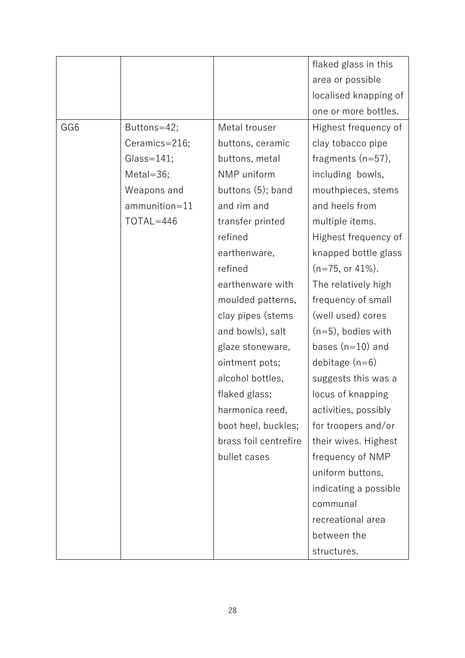|     |                |                       | flaked glass in this  |
|-----|----------------|-----------------------|-----------------------|
|     |                |                       | area or possible      |
|     |                |                       | localised knapping of |
|     |                |                       | one or more bottles.  |
| GG6 | Buttons=42;    | Metal trouser         | Highest frequency of  |
|     | Ceramics=216;  | buttons, ceramic      | clay tobacco pipe     |
|     | $Glass = 141;$ | buttons, metal        | fragments $(n=57)$ ,  |
|     | $MetaI = 36;$  | NMP uniform           | including bowls,      |
|     | Weapons and    | buttons (5); band     | mouthpieces, stems    |
|     | ammunition=11  | and rim and           | and heels from        |
|     | TOTAL=446      | transfer printed      | multiple items.       |
|     |                | refined               | Highest frequency of  |
|     |                | earthenware,          | knapped bottle glass  |
|     |                | refined               | $(n=75, or 41\%).$    |
|     |                | earthenware with      | The relatively high   |
|     |                | moulded patterns,     | frequency of small    |
|     |                | clay pipes (stems     | (well used) cores     |
|     |                | and bowls), salt      | $(n=5)$ , bodies with |
|     |                | glaze stoneware,      | bases $(n=10)$ and    |
|     |                | ointment pots;        | debitage $(n=6)$      |
|     |                | alcohol bottles,      | suggests this was a   |
|     |                | flaked glass;         | locus of knapping     |
|     |                | harmonica reed,       | activities, possibly  |
|     |                | boot heel, buckles;   | for troopers and/or   |
|     |                | brass foil centrefire | their wives. Highest  |
|     |                | bullet cases          | frequency of NMP      |
|     |                |                       | uniform buttons,      |
|     |                |                       | indicating a possible |
|     |                |                       | communal              |
|     |                |                       | recreational area     |
|     |                |                       | between the           |
|     |                |                       | structures.           |